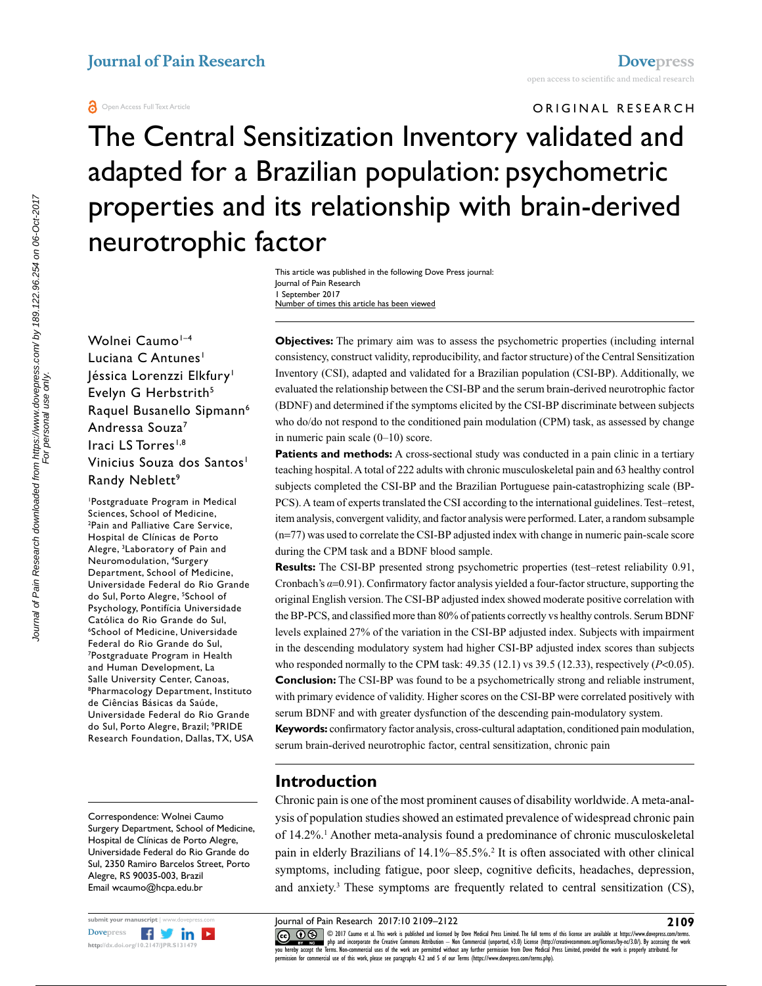ORIGINAL RESEARCH

The Central Sensitization Inventory validated and adapted for a Brazilian population: psychometric properties and its relationship with brain-derived neurotrophic factor

> This article was published in the following Dove Press journal: Journal of Pain Research 1 September 2017 Number of times this article has been viewed

Wolnei Caumo<sup>1-4</sup> Luciana C Antunes<sup>1</sup> Jéssica Lorenzzi Elkfury<sup>1</sup> Evelyn G Herbstrith<sup>5</sup> Raquel Busanello Sipmann<sup>6</sup> Andressa Souza7 Iraci LS Torres<sup>1,8</sup> Vinicius Souza dos Santos<sup>1</sup> Randy Neblett<sup>9</sup>

1 Postgraduate Program in Medical Sciences, School of Medicine, 2 Pain and Palliative Care Service, Hospital de Clínicas de Porto Alegre, 3 Laboratory of Pain and Neuromodulation, 4 Surgery Department, School of Medicine, Universidade Federal do Rio Grande do Sul, Porto Alegre, <sup>5</sup>School of Psychology, Pontifícia Universidade Católica do Rio Grande do Sul, 6 School of Medicine, Universidade Federal do Rio Grande do Sul, 7 Postgraduate Program in Health and Human Development, La Salle University Center, Canoas, 8 Pharmacology Department, Instituto de Ciências Básicas da Saúde, Universidade Federal do Rio Grande do Sul, Porto Alegre, Brazil; <sup>9</sup>PRIDE Research Foundation, Dallas, TX, USA

Correspondence: Wolnei Caumo Surgery Department, School of Medicine, Hospital de Clínicas de Porto Alegre, Universidade Federal do Rio Grande do Sul, 2350 Ramiro Barcelos Street, Porto Alegre, RS 90035-003, Brazil Email wcaumo@hcpa.edu.br



**Objectives:** The primary aim was to assess the psychometric properties (including internal consistency, construct validity, reproducibility, and factor structure) of the Central Sensitization Inventory (CSI), adapted and validated for a Brazilian population (CSI-BP). Additionally, we evaluated the relationship between the CSI-BP and the serum brain-derived neurotrophic factor (BDNF) and determined if the symptoms elicited by the CSI-BP discriminate between subjects who do/do not respond to the conditioned pain modulation (CPM) task, as assessed by change in numeric pain scale (0–10) score.

**Patients and methods:** A cross-sectional study was conducted in a pain clinic in a tertiary teaching hospital. A total of 222 adults with chronic musculoskeletal pain and 63 healthy control subjects completed the CSI-BP and the Brazilian Portuguese pain-catastrophizing scale (BP-PCS). A team of experts translated the CSI according to the international guidelines. Test–retest, item analysis, convergent validity, and factor analysis were performed. Later, a random subsample (n=77) was used to correlate the CSI-BP adjusted index with change in numeric pain-scale score during the CPM task and a BDNF blood sample.

**Results:** The CSI-BP presented strong psychometric properties (test–retest reliability 0.91, Cronbach's *a*=0.91). Confirmatory factor analysis yielded a four-factor structure, supporting the original English version. The CSI-BP adjusted index showed moderate positive correlation with the BP-PCS, and classified more than 80% of patients correctly vs healthy controls. Serum BDNF levels explained 27% of the variation in the CSI-BP adjusted index. Subjects with impairment in the descending modulatory system had higher CSI-BP adjusted index scores than subjects who responded normally to the CPM task: 49.35 (12.1) vs 39.5 (12.33), respectively (*P*<0.05). **Conclusion:** The CSI-BP was found to be a psychometrically strong and reliable instrument, with primary evidence of validity. Higher scores on the CSI-BP were correlated positively with serum BDNF and with greater dysfunction of the descending pain-modulatory system.

**Keywords:** confirmatory factor analysis, cross-cultural adaptation, conditioned pain modulation, serum brain-derived neurotrophic factor, central sensitization, chronic pain

# **Introduction**

Chronic pain is one of the most prominent causes of disability worldwide. A meta-analysis of population studies showed an estimated prevalence of widespread chronic pain of 14.2%.<sup>1</sup> Another meta-analysis found a predominance of chronic musculoskeletal pain in elderly Brazilians of 14.1%–85.5%.<sup>2</sup> It is often associated with other clinical symptoms, including fatigue, poor sleep, cognitive deficits, headaches, depression, and anxiety.<sup>3</sup> These symptoms are frequently related to central sensitization (CS),

Journal of Pain Research 2017:10 2109–2122

COM COUT Caumo et al. This work is published and licensed by Dove Medical Press Limited. The full terms of this license are available at https://www.dovepress.com/terms.<br> [you hereby accept the T](http://www.dovepress.com/permissions.php)erms. Non-commercial uses of permission for commercial use of this work, please see paragraphs 4.2 and 5 of our Terms (https://www.dovepress.com/terms.php).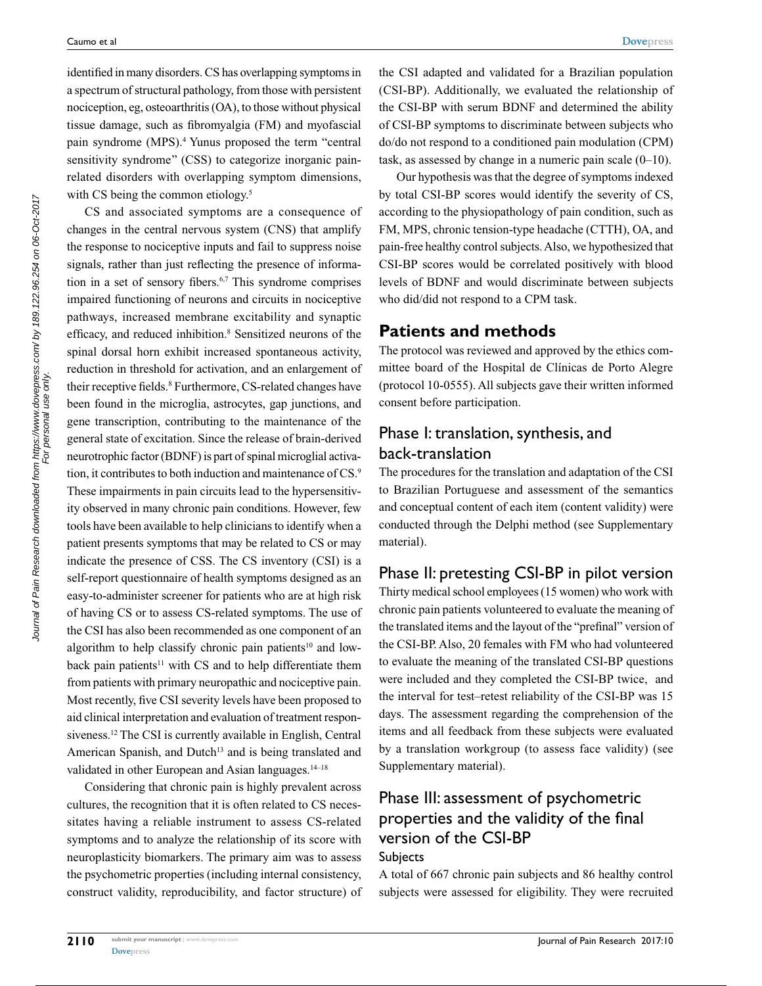identified in many disorders. CS has overlapping symptoms in a spectrum of structural pathology, from those with persistent nociception, eg, osteoarthritis (OA), to those without physical tissue damage, such as fibromyalgia (FM) and myofascial pain syndrome (MPS).<sup>4</sup> Yunus proposed the term "central sensitivity syndrome" (CSS) to categorize inorganic painrelated disorders with overlapping symptom dimensions, with CS being the common etiology.<sup>5</sup>

CS and associated symptoms are a consequence of changes in the central nervous system (CNS) that amplify the response to nociceptive inputs and fail to suppress noise signals, rather than just reflecting the presence of information in a set of sensory fibers.6,7 This syndrome comprises impaired functioning of neurons and circuits in nociceptive pathways, increased membrane excitability and synaptic efficacy, and reduced inhibition.<sup>8</sup> Sensitized neurons of the spinal dorsal horn exhibit increased spontaneous activity, reduction in threshold for activation, and an enlargement of their receptive fields.<sup>8</sup> Furthermore, CS-related changes have been found in the microglia, astrocytes, gap junctions, and gene transcription, contributing to the maintenance of the general state of excitation. Since the release of brain-derived neurotrophic factor (BDNF) is part of spinal microglial activation, it contributes to both induction and maintenance of CS.<sup>9</sup> These impairments in pain circuits lead to the hypersensitivity observed in many chronic pain conditions. However, few tools have been available to help clinicians to identify when a patient presents symptoms that may be related to CS or may indicate the presence of CSS. The CS inventory (CSI) is a self-report questionnaire of health symptoms designed as an easy-to-administer screener for patients who are at high risk of having CS or to assess CS-related symptoms. The use of the CSI has also been recommended as one component of an algorithm to help classify chronic pain patients<sup>10</sup> and lowback pain patients<sup>11</sup> with CS and to help differentiate them from patients with primary neuropathic and nociceptive pain. Most recently, five CSI severity levels have been proposed to aid clinical interpretation and evaluation of treatment responsiveness.<sup>12</sup> The CSI is currently available in English, Central American Spanish, and Dutch<sup>13</sup> and is being translated and validated in other European and Asian languages. $14-18$ 

Considering that chronic pain is highly prevalent across cultures, the recognition that it is often related to CS necessitates having a reliable instrument to assess CS-related symptoms and to analyze the relationship of its score with neuroplasticity biomarkers. The primary aim was to assess the psychometric properties (including internal consistency, construct validity, reproducibility, and factor structure) of

the CSI adapted and validated for a Brazilian population (CSI-BP). Additionally, we evaluated the relationship of the CSI-BP with serum BDNF and determined the ability of CSI-BP symptoms to discriminate between subjects who do/do not respond to a conditioned pain modulation (CPM) task, as assessed by change in a numeric pain scale  $(0-10)$ .

Our hypothesis was that the degree of symptoms indexed by total CSI-BP scores would identify the severity of CS, according to the physiopathology of pain condition, such as FM, MPS, chronic tension-type headache (CTTH), OA, and pain-free healthy control subjects. Also, we hypothesized that CSI-BP scores would be correlated positively with blood levels of BDNF and would discriminate between subjects who did/did not respond to a CPM task.

#### **Patients and methods**

The protocol was reviewed and approved by the ethics committee board of the Hospital de Clínicas de Porto Alegre (protocol 10-0555). All subjects gave their written informed consent before participation.

## Phase I: translation, synthesis, and back-translation

The procedures for the translation and adaptation of the CSI to Brazilian Portuguese and assessment of the semantics and conceptual content of each item (content validity) were conducted through the Delphi method (see Supplementary material).

## Phase II: pretesting CSI-BP in pilot version

Thirty medical school employees (15 women) who work with chronic pain patients volunteered to evaluate the meaning of the translated items and the layout of the "prefinal" version of the CSI-BP. Also, 20 females with FM who had volunteered to evaluate the meaning of the translated CSI-BP questions were included and they completed the CSI-BP twice, and the interval for test–retest reliability of the CSI-BP was 15 days. The assessment regarding the comprehension of the items and all feedback from these subjects were evaluated by a translation workgroup (to assess face validity) (see Supplementary material).

## Phase III: assessment of psychometric properties and the validity of the final version of the CSI-BP **Subjects**

A total of 667 chronic pain subjects and 86 healthy control subjects were assessed for eligibility. They were recruited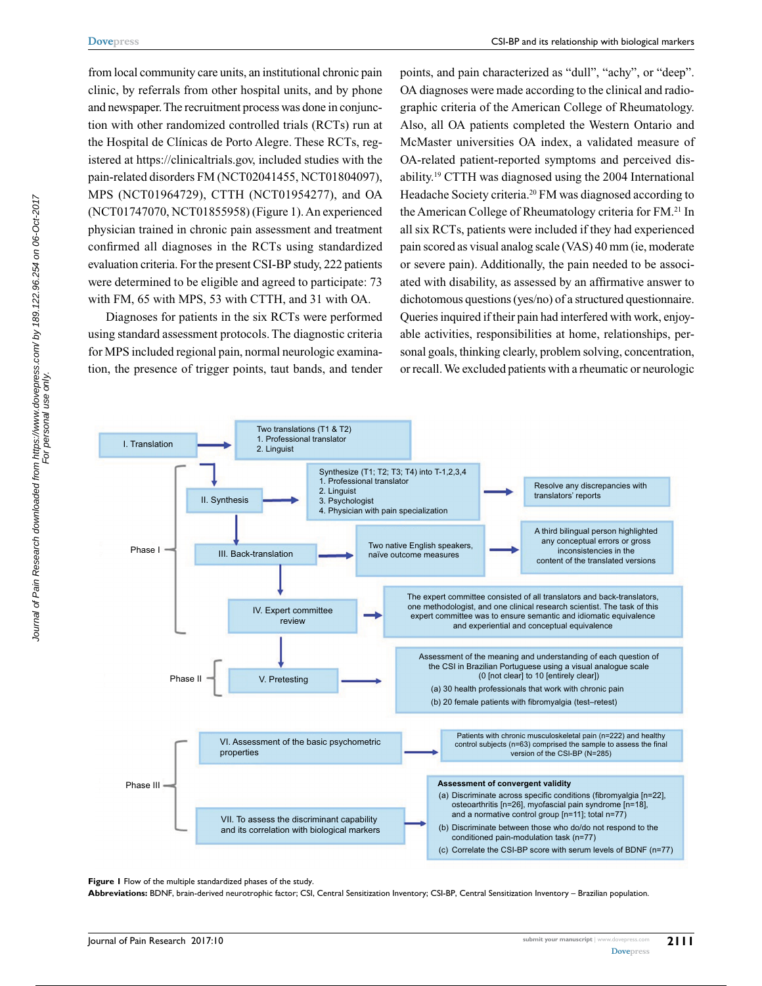from local community care units, an institutional chronic pain clinic, by referrals from other hospital units, and by phone and newspaper. The recruitment process was done in conjunction with other randomized controlled trials (RCTs) run at the Hospital de Clínicas de Porto Alegre. These RCTs, registered at https://clinicaltrials.gov, included studies with the pain-related disorders FM (NCT02041455, NCT01804097), MPS (NCT01964729), CTTH (NCT01954277), and OA (NCT01747070, NCT01855958) (Figure 1). An experienced physician trained in chronic pain assessment and treatment confirmed all diagnoses in the RCTs using standardized evaluation criteria. For the present CSI-BP study, 222 patients were determined to be eligible and agreed to participate: 73 with FM, 65 with MPS, 53 with CTTH, and 31 with OA.

Diagnoses for patients in the six RCTs were performed using standard assessment protocols. The diagnostic criteria for MPS included regional pain, normal neurologic examination, the presence of trigger points, taut bands, and tender points, and pain characterized as "dull", "achy", or "deep". OA diagnoses were made according to the clinical and radiographic criteria of the American College of Rheumatology. Also, all OA patients completed the Western Ontario and McMaster universities OA index, a validated measure of OA-related patient-reported symptoms and perceived disability.19 CTTH was diagnosed using the 2004 International Headache Society criteria.<sup>20</sup> FM was diagnosed according to the American College of Rheumatology criteria for FM.21 In all six RCTs, patients were included if they had experienced pain scored as visual analog scale (VAS) 40 mm (ie, moderate or severe pain). Additionally, the pain needed to be associated with disability, as assessed by an affirmative answer to dichotomous questions (yes/no) of a structured questionnaire. Queries inquired if their pain had interfered with work, enjoyable activities, responsibilities at home, relationships, personal goals, thinking clearly, problem solving, concentration, or recall. We excluded patients with a rheumatic or neurologic



**Figure 1** Flow of the multiple standardized phases of the study.

**Abbreviations:** BDNF, brain-derived neurotrophic factor; CSI, Central Sensitization Inventory; CSI-BP, Central Sensitization Inventory – Brazilian population.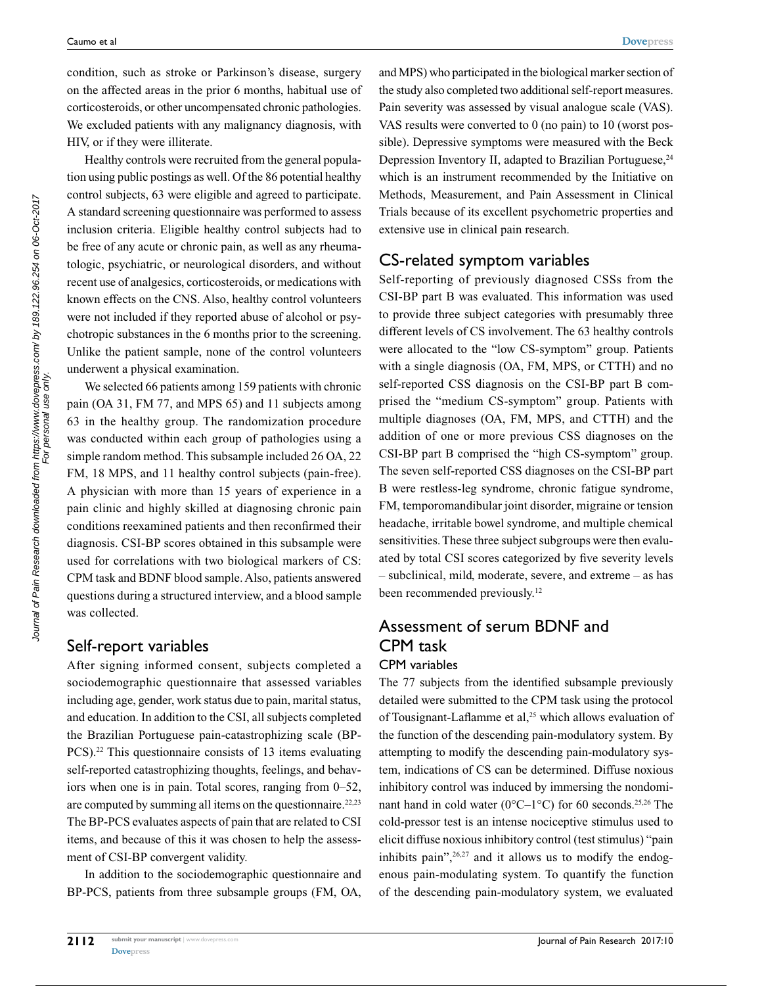condition, such as stroke or Parkinson's disease, surgery on the affected areas in the prior 6 months, habitual use of corticosteroids, or other uncompensated chronic pathologies. We excluded patients with any malignancy diagnosis, with HIV, or if they were illiterate.

Healthy controls were recruited from the general population using public postings as well. Of the 86 potential healthy control subjects, 63 were eligible and agreed to participate. A standard screening questionnaire was performed to assess inclusion criteria. Eligible healthy control subjects had to be free of any acute or chronic pain, as well as any rheumatologic, psychiatric, or neurological disorders, and without recent use of analgesics, corticosteroids, or medications with known effects on the CNS. Also, healthy control volunteers were not included if they reported abuse of alcohol or psychotropic substances in the 6 months prior to the screening. Unlike the patient sample, none of the control volunteers underwent a physical examination.

We selected 66 patients among 159 patients with chronic pain (OA 31, FM 77, and MPS 65) and 11 subjects among 63 in the healthy group. The randomization procedure was conducted within each group of pathologies using a simple random method. This subsample included 26 OA, 22 FM, 18 MPS, and 11 healthy control subjects (pain-free). A physician with more than 15 years of experience in a pain clinic and highly skilled at diagnosing chronic pain conditions reexamined patients and then reconfirmed their diagnosis. CSI-BP scores obtained in this subsample were used for correlations with two biological markers of CS: CPM task and BDNF blood sample. Also, patients answered questions during a structured interview, and a blood sample was collected.

## Self-report variables

After signing informed consent, subjects completed a sociodemographic questionnaire that assessed variables including age, gender, work status due to pain, marital status, and education. In addition to the CSI, all subjects completed the Brazilian Portuguese pain-catastrophizing scale (BP-PCS).22 This questionnaire consists of 13 items evaluating self-reported catastrophizing thoughts, feelings, and behaviors when one is in pain. Total scores, ranging from 0–52, are computed by summing all items on the questionnaire.<sup>22,23</sup> The BP-PCS evaluates aspects of pain that are related to CSI items, and because of this it was chosen to help the assessment of CSI-BP convergent validity.

In addition to the sociodemographic questionnaire and BP-PCS, patients from three subsample groups (FM, OA, and MPS) who participated in the biological marker section of the study also completed two additional self-report measures. Pain severity was assessed by visual analogue scale (VAS). VAS results were converted to 0 (no pain) to 10 (worst possible). Depressive symptoms were measured with the Beck Depression Inventory II, adapted to Brazilian Portuguese,<sup>24</sup> which is an instrument recommended by the Initiative on Methods, Measurement, and Pain Assessment in Clinical Trials because of its excellent psychometric properties and extensive use in clinical pain research.

# CS-related symptom variables

Self-reporting of previously diagnosed CSSs from the CSI-BP part B was evaluated. This information was used to provide three subject categories with presumably three different levels of CS involvement. The 63 healthy controls were allocated to the "low CS-symptom" group. Patients with a single diagnosis (OA, FM, MPS, or CTTH) and no self-reported CSS diagnosis on the CSI-BP part B comprised the "medium CS-symptom" group. Patients with multiple diagnoses (OA, FM, MPS, and CTTH) and the addition of one or more previous CSS diagnoses on the CSI-BP part B comprised the "high CS-symptom" group. The seven self-reported CSS diagnoses on the CSI-BP part B were restless-leg syndrome, chronic fatigue syndrome, FM, temporomandibular joint disorder, migraine or tension headache, irritable bowel syndrome, and multiple chemical sensitivities. These three subject subgroups were then evaluated by total CSI scores categorized by five severity levels – subclinical, mild, moderate, severe, and extreme – as has been recommended previously.<sup>12</sup>

### Assessment of serum BDNF and CPM task CPM variables

The 77 subjects from the identified subsample previously detailed were submitted to the CPM task using the protocol of Tousignant-Laflamme et al,<sup>25</sup> which allows evaluation of the function of the descending pain-modulatory system. By attempting to modify the descending pain-modulatory system, indications of CS can be determined. Diffuse noxious inhibitory control was induced by immersing the nondominant hand in cold water ( $0^{\circ}$ C–1 $^{\circ}$ C) for 60 seconds.<sup>25,26</sup> The cold-pressor test is an intense nociceptive stimulus used to elicit diffuse noxious inhibitory control (test stimulus) "pain inhibits pain",  $26,27$  and it allows us to modify the endogenous pain-modulating system. To quantify the function of the descending pain-modulatory system, we evaluated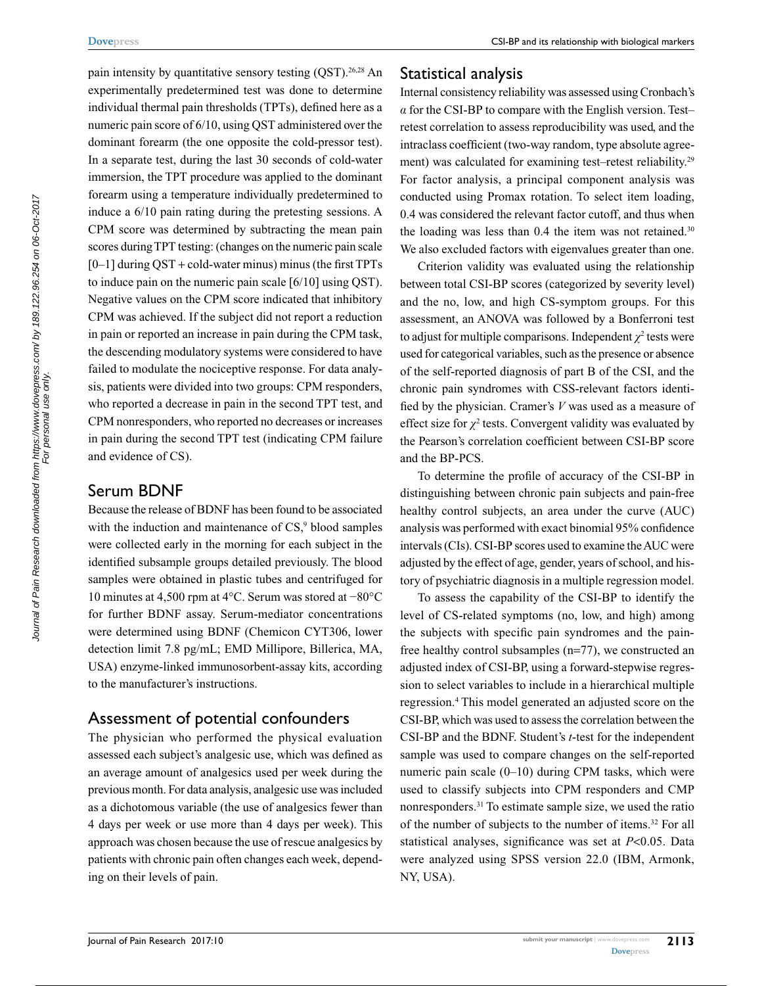pain intensity by quantitative sensory testing  $(OST)$ <sup>26,28</sup> An experimentally predetermined test was done to determine individual thermal pain thresholds (TPTs), defined here as a numeric pain score of 6/10, using QST administered over the dominant forearm (the one opposite the cold-pressor test). In a separate test, during the last 30 seconds of cold-water immersion, the TPT procedure was applied to the dominant forearm using a temperature individually predetermined to induce a 6/10 pain rating during the pretesting sessions. A CPM score was determined by subtracting the mean pain scores during TPT testing: (changes on the numeric pain scale  $[0-1]$  during QST + cold-water minus) minus (the first TPTs to induce pain on the numeric pain scale [6/10] using QST). Negative values on the CPM score indicated that inhibitory CPM was achieved. If the subject did not report a reduction in pain or reported an increase in pain during the CPM task, the descending modulatory systems were considered to have failed to modulate the nociceptive response. For data analysis, patients were divided into two groups: CPM responders, who reported a decrease in pain in the second TPT test, and CPM nonresponders, who reported no decreases or increases in pain during the second TPT test (indicating CPM failure and evidence of CS).

#### Serum BDNF

Because the release of BDNF has been found to be associated with the induction and maintenance of  $CS<sub>2</sub>$ <sup>9</sup> blood samples were collected early in the morning for each subject in the identified subsample groups detailed previously. The blood samples were obtained in plastic tubes and centrifuged for 10 minutes at 4,500 rpm at 4°C. Serum was stored at −80°C for further BDNF assay. Serum-mediator concentrations were determined using BDNF (Chemicon CYT306, lower detection limit 7.8 pg/mL; EMD Millipore, Billerica, MA, USA) enzyme-linked immunosorbent-assay kits, according to the manufacturer's instructions.

## Assessment of potential confounders

The physician who performed the physical evaluation assessed each subject's analgesic use, which was defined as an average amount of analgesics used per week during the previous month. For data analysis, analgesic use was included as a dichotomous variable (the use of analgesics fewer than 4 days per week or use more than 4 days per week). This approach was chosen because the use of rescue analgesics by patients with chronic pain often changes each week, depending on their levels of pain.

#### Statistical analysis

Internal consistency reliability was assessed using Cronbach's *a* for the CSI-BP to compare with the English version. Test– retest correlation to assess reproducibility was used, and the intraclass coefficient (two-way random, type absolute agreement) was calculated for examining test–retest reliability.<sup>29</sup> For factor analysis, a principal component analysis was conducted using Promax rotation. To select item loading, 0.4 was considered the relevant factor cutoff, and thus when the loading was less than 0.4 the item was not retained.<sup>30</sup> We also excluded factors with eigenvalues greater than one.

Criterion validity was evaluated using the relationship between total CSI-BP scores (categorized by severity level) and the no, low, and high CS-symptom groups. For this assessment, an ANOVA was followed by a Bonferroni test to adjust for multiple comparisons. Independent  $\chi^2$  tests were used for categorical variables, such as the presence or absence of the self-reported diagnosis of part B of the CSI, and the chronic pain syndromes with CSS-relevant factors identified by the physician. Cramer's *V* was used as a measure of effect size for  $\chi^2$  tests. Convergent validity was evaluated by the Pearson's correlation coefficient between CSI-BP score and the BP-PCS.

To determine the profile of accuracy of the CSI-BP in distinguishing between chronic pain subjects and pain-free healthy control subjects, an area under the curve (AUC) analysis was performed with exact binomial 95% confidence intervals (CIs). CSI-BP scores used to examine the AUC were adjusted by the effect of age, gender, years of school, and history of psychiatric diagnosis in a multiple regression model.

To assess the capability of the CSI-BP to identify the level of CS-related symptoms (no, low, and high) among the subjects with specific pain syndromes and the painfree healthy control subsamples (n=77), we constructed an adjusted index of CSI-BP, using a forward-stepwise regression to select variables to include in a hierarchical multiple regression.4 This model generated an adjusted score on the CSI-BP, which was used to assess the correlation between the CSI-BP and the BDNF. Student's *t*-test for the independent sample was used to compare changes on the self-reported numeric pain scale (0–10) during CPM tasks, which were used to classify subjects into CPM responders and CMP nonresponders.31 To estimate sample size, we used the ratio of the number of subjects to the number of items.32 For all statistical analyses, significance was set at *P*<0.05. Data were analyzed using SPSS version 22.0 (IBM, Armonk, NY, USA).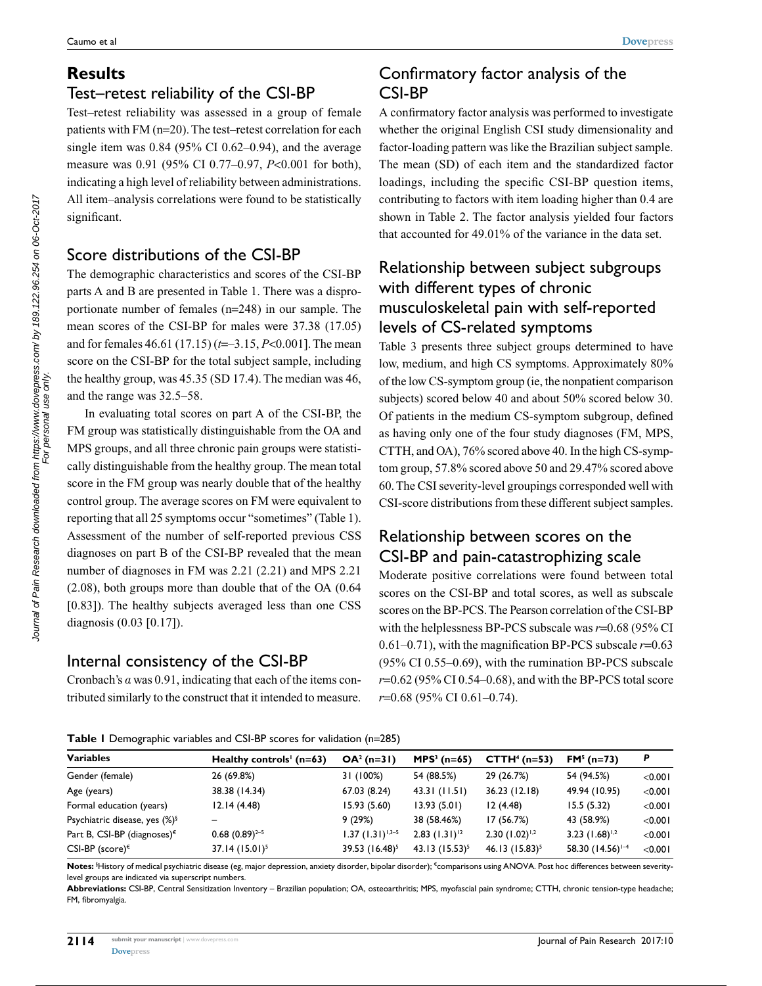#### **Results** Test–retest reliability of the CSI-BP

Test–retest reliability was assessed in a group of female patients with FM (n=20). The test–retest correlation for each single item was 0.84 (95% CI 0.62–0.94), and the average measure was 0.91 (95% CI 0.77–0.97, *P*<0.001 for both), indicating a high level of reliability between administrations. All item–analysis correlations were found to be statistically significant.

# Score distributions of the CSI-BP

The demographic characteristics and scores of the CSI-BP parts A and B are presented in Table 1. There was a disproportionate number of females (n=248) in our sample. The mean scores of the CSI-BP for males were 37.38 (17.05) and for females 46.61 (17.15) (*t*=–3.15, *P*<0.001]. The mean score on the CSI-BP for the total subject sample, including the healthy group, was 45.35 (SD 17.4). The median was 46, and the range was 32.5–58.

In evaluating total scores on part A of the CSI-BP, the FM group was statistically distinguishable from the OA and MPS groups, and all three chronic pain groups were statistically distinguishable from the healthy group. The mean total score in the FM group was nearly double that of the healthy control group. The average scores on FM were equivalent to reporting that all 25 symptoms occur "sometimes" (Table 1). Assessment of the number of self-reported previous CSS diagnoses on part B of the CSI-BP revealed that the mean number of diagnoses in FM was 2.21 (2.21) and MPS 2.21 (2.08), both groups more than double that of the OA (0.64 [0.83]). The healthy subjects averaged less than one CSS diagnosis (0.03 [0.17]).

## Internal consistency of the CSI-BP

Cronbach's *a* was 0.91, indicating that each of the items contributed similarly to the construct that it intended to measure.

# Confirmatory factor analysis of the CSI-BP

A confirmatory factor analysis was performed to investigate whether the original English CSI study dimensionality and factor-loading pattern was like the Brazilian subject sample. The mean (SD) of each item and the standardized factor loadings, including the specific CSI-BP question items, contributing to factors with item loading higher than 0.4 are shown in Table 2. The factor analysis yielded four factors that accounted for 49.01% of the variance in the data set.

# Relationship between subject subgroups with different types of chronic musculoskeletal pain with self-reported levels of CS-related symptoms

Table 3 presents three subject groups determined to have low, medium, and high CS symptoms. Approximately 80% of the low CS-symptom group (ie, the nonpatient comparison subjects) scored below 40 and about 50% scored below 30. Of patients in the medium CS-symptom subgroup, defined as having only one of the four study diagnoses (FM, MPS, CTTH, and OA), 76% scored above 40. In the high CS-symptom group, 57.8% scored above 50 and 29.47% scored above 60. The CSI severity-level groupings corresponded well with CSI-score distributions from these different subject samples.

# Relationship between scores on the CSI-BP and pain-catastrophizing scale

Moderate positive correlations were found between total scores on the CSI-BP and total scores, as well as subscale scores on the BP-PCS. The Pearson correlation of the CSI-BP with the helplessness BP-PCS subscale was *r*=0.68 (95% CI 0.61–0.71), with the magnification BP-PCS subscale *r*=0.63 (95% CI 0.55–0.69), with the rumination BP-PCS subscale *r*=0.62 (95% CI 0.54–0.68), and with the BP-PCS total score *r*=0.68 (95% CI 0.61–0.74).

| Table I Demographic variables and CSI-BP scores for validation (n=285) |  |  |  |
|------------------------------------------------------------------------|--|--|--|
|                                                                        |  |  |  |

| <b>Variables</b>                                  | Healthy controls <sup><math>\frac{1}{2}</math></sup> (n=63) | $OA2$ (n=31)               | $MPS3$ (n=65)        | $CTTH4$ (n=53)     | $FM5$ (n=73)          | Р       |
|---------------------------------------------------|-------------------------------------------------------------|----------------------------|----------------------|--------------------|-----------------------|---------|
| Gender (female)                                   | 26 (69.8%)                                                  | 31 (100%)                  | 54 (88.5%)           | 29 (26.7%)         | 54 (94.5%)            | < 0.001 |
| Age (years)                                       | 38.38 (14.34)                                               | 67.03 (8.24)               | 43.31(11.51)         | 36.23(12.18)       | 49.94 (10.95)         | < 0.001 |
| Formal education (years)                          | 12.14(4.48)                                                 | 15.93 (5.60)               | 13.93(5.01)          | 12(4.48)           | 15.5(5.32)            | < 0.001 |
| Psychiatric disease, yes (%) <sup>§</sup>         |                                                             | 9(29%)                     | 38 (58.46%)          | 17 (56.7%)         | 43 (58.9%)            | < 0.001 |
| Part B, CSI-BP (diagnoses) $\epsilon$             | $0.68~(0.89)^{2-5}$                                         | $1.37 (1.31)^{1,3-5}$      | $2.83$ $(1.31)^{12}$ | $2.30(1.02)^{1.2}$ | 3.23 $(1.68)^{1,2}$   | < 0.001 |
| $CSI-BP$ (score) <sup><math>\epsilon</math></sup> | $37.14 (15.01)^5$                                           | 39.53 (16.48) <sup>5</sup> | $43.13(15.53)^5$     | 46.13 $(15.83)^5$  | 58.30 $(14.56)^{1-4}$ | < 0.001 |

**Notes:** § History of medical psychiatric disease (eg, major depression, anxiety disorder, bipolar disorder); €comparisons using ANOVA. Post hoc differences between severitylevel groups are indicated via superscript numbers.

**Abbreviations:** CSI-BP, Central Sensitization Inventory – Brazilian population; OA, osteoarthritis; MPS, myofascial pain syndrome; CTTH, chronic tension-type headache; FM, fibromyalgia.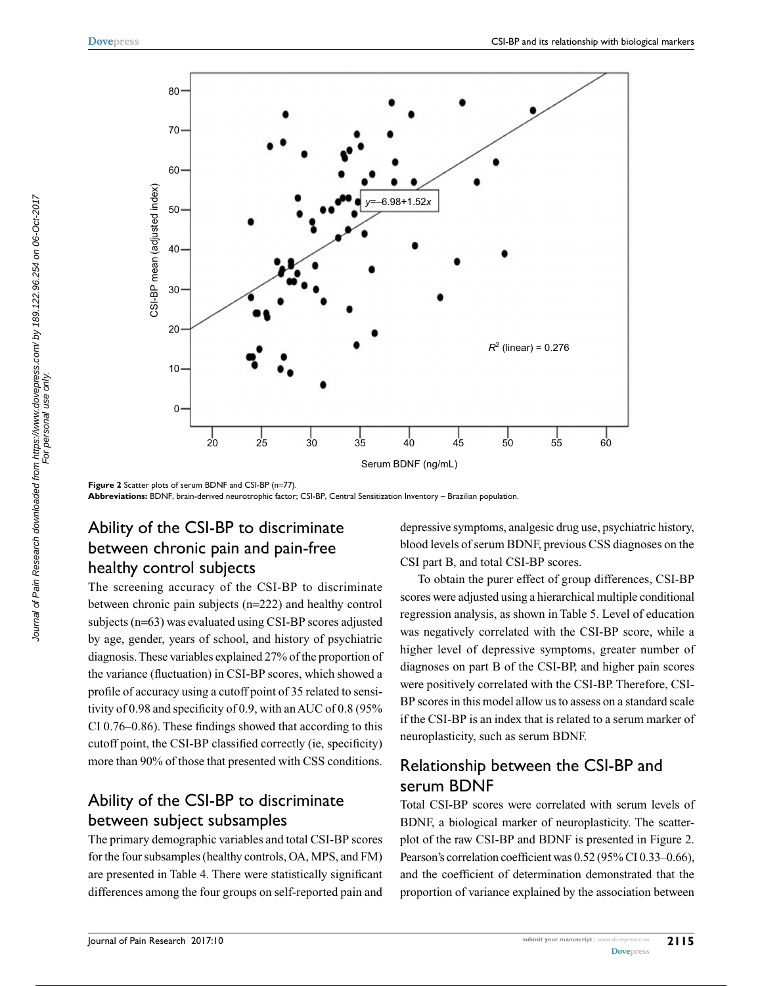

**Figure 2** Scatter plots of serum BDNF and CSI-BP (n=77). **Abbreviations:** BDNF, brain-derived neurotrophic factor; CSI-BP, Central Sensitization Inventory – Brazilian population.

# Ability of the CSI-BP to discriminate between chronic pain and pain-free healthy control subjects

The screening accuracy of the CSI-BP to discriminate between chronic pain subjects (n=222) and healthy control subjects (n=63) was evaluated using CSI-BP scores adjusted by age, gender, years of school, and history of psychiatric diagnosis. These variables explained 27% of the proportion of the variance (fluctuation) in CSI-BP scores, which showed a profile of accuracy using a cutoff point of 35 related to sensitivity of 0.98 and specificity of 0.9, with an AUC of 0.8 (95% CI 0.76–0.86). These findings showed that according to this cutoff point, the CSI-BP classified correctly (ie, specificity) more than 90% of those that presented with CSS conditions.

# Ability of the CSI-BP to discriminate between subject subsamples

The primary demographic variables and total CSI-BP scores for the four subsamples (healthy controls, OA, MPS, and FM) are presented in Table 4. There were statistically significant differences among the four groups on self-reported pain and depressive symptoms, analgesic drug use, psychiatric history, blood levels of serum BDNF, previous CSS diagnoses on the CSI part B, and total CSI-BP scores.

To obtain the purer effect of group differences, CSI-BP scores were adjusted using a hierarchical multiple conditional regression analysis, as shown in Table 5. Level of education was negatively correlated with the CSI-BP score, while a higher level of depressive symptoms, greater number of diagnoses on part B of the CSI-BP, and higher pain scores were positively correlated with the CSI-BP. Therefore, CSI-BP scores in this model allow us to assess on a standard scale if the CSI-BP is an index that is related to a serum marker of neuroplasticity, such as serum BDNF.

# Relationship between the CSI-BP and serum BDNF

Total CSI-BP scores were correlated with serum levels of BDNF, a biological marker of neuroplasticity. The scatterplot of the raw CSI-BP and BDNF is presented in Figure 2. Pearson's correlation coefficient was 0.52 (95% CI 0.33–0.66), and the coefficient of determination demonstrated that the proportion of variance explained by the association between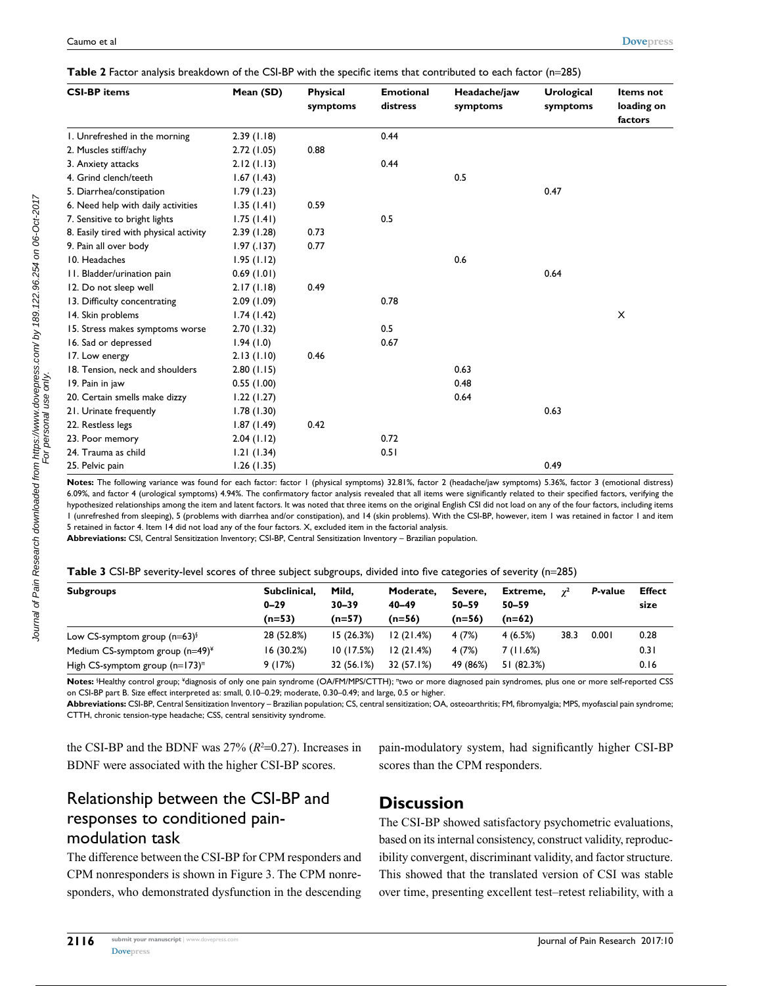|  |  |  | Table 2 Factor analysis breakdown of the CSI-BP with the specific items that contributed to each factor (n=285) |  |
|--|--|--|-----------------------------------------------------------------------------------------------------------------|--|
|--|--|--|-----------------------------------------------------------------------------------------------------------------|--|

| <b>CSI-BP</b> items                    | Mean (SD)   | <b>Physical</b><br>symptoms | <b>Emotional</b><br>distress | Headache/jaw<br>symptoms | <b>Urological</b><br>symptoms | Items not<br>loading on |
|----------------------------------------|-------------|-----------------------------|------------------------------|--------------------------|-------------------------------|-------------------------|
|                                        |             |                             |                              |                          |                               | factors                 |
| I. Unrefreshed in the morning          | 2.39(1.18)  |                             | 0.44                         |                          |                               |                         |
| 2. Muscles stiff/achy                  | 2.72 (1.05) | 0.88                        |                              |                          |                               |                         |
| 3. Anxiety attacks                     | 2.12(1.13)  |                             | 0.44                         |                          |                               |                         |
| 4. Grind clench/teeth                  | 1.67(1.43)  |                             |                              | 0.5                      |                               |                         |
| 5. Diarrhea/constipation               | 1.79(1.23)  |                             |                              |                          | 0.47                          |                         |
| 6. Need help with daily activities     | 1.35(1.41)  | 0.59                        |                              |                          |                               |                         |
| 7. Sensitive to bright lights          | 1.75(1.41)  |                             | 0.5                          |                          |                               |                         |
| 8. Easily tired with physical activity | 2.39 (1.28) | 0.73                        |                              |                          |                               |                         |
| 9. Pain all over body                  | 1.97(0.137) | 0.77                        |                              |                          |                               |                         |
| 10. Headaches                          | 1.95(1.12)  |                             |                              | 0.6                      |                               |                         |
| 11. Bladder/urination pain             | 0.69(1.01)  |                             |                              |                          | 0.64                          |                         |
| 12. Do not sleep well                  | 2.17(1.18)  | 0.49                        |                              |                          |                               |                         |
| 13. Difficulty concentrating           | 2.09 (1.09) |                             | 0.78                         |                          |                               |                         |
| 14. Skin problems                      | 1.74(1.42)  |                             |                              |                          |                               | X                       |
| 15. Stress makes symptoms worse        | 2.70(1.32)  |                             | 0.5                          |                          |                               |                         |
| 16. Sad or depressed                   | 1.94(1.0)   |                             | 0.67                         |                          |                               |                         |
| 17. Low energy                         | 2.13(1.10)  | 0.46                        |                              |                          |                               |                         |
| 18. Tension, neck and shoulders        | 2.80(1.15)  |                             |                              | 0.63                     |                               |                         |
| 19. Pain in jaw                        | 0.55(1.00)  |                             |                              | 0.48                     |                               |                         |
| 20. Certain smells make dizzy          | 1.22(1.27)  |                             |                              | 0.64                     |                               |                         |
| 21. Urinate frequently                 | 1.78(1.30)  |                             |                              |                          | 0.63                          |                         |
| 22. Restless legs                      | 1.87(1.49)  | 0.42                        |                              |                          |                               |                         |
| 23. Poor memory                        | 2.04(1.12)  |                             | 0.72                         |                          |                               |                         |
| 24. Trauma as child                    | 1.21(1.34)  |                             | 0.51                         |                          |                               |                         |
| 25. Pelvic pain                        | 1.26(1.35)  |                             |                              |                          | 0.49                          |                         |

**Notes:** The following variance was found for each factor: factor 1 (physical symptoms) 32.81%, factor 2 (headache/jaw symptoms) 5.36%, factor 3 (emotional distress) 6.09%, and factor 4 (urological symptoms) 4.94%. The confirmatory factor analysis revealed that all items were significantly related to their specified factors, verifying the hypothesized relationships among the item and latent factors. It was noted that three items on the original English CSI did not load on any of the four factors, including items 1 (unrefreshed from sleeping), 5 (problems with diarrhea and/or constipation), and 14 (skin problems). With the CSI-BP, however, item 1 was retained in factor 1 and item 5 retained in factor 4. Item 14 did not load any of the four factors. X, excluded item in the factorial analysis.

**Abbreviations:** CSI, Central Sensitization Inventory; CSI-BP, Central Sensitization Inventory – Brazilian population.

| Table 3 CSI-BP severity-level scores of three subject subgroups, divided into five categories of severity (n=285) |  |  |  |
|-------------------------------------------------------------------------------------------------------------------|--|--|--|
|                                                                                                                   |  |  |  |

| <b>Subgroups</b>                           | Subclinical,<br>$0 - 29$<br>(n=53) | Mild.<br>$30 - 39$<br>$(n=57)$ | Moderate.<br>$40 - 49$<br>$(n=56)$ | Severe.<br>$50 - 59$<br>(n=56) | Extreme,<br>$50 - 59$<br>$(n=62)$ | $\gamma$ <sup>1</sup> | P-value | <b>Effect</b><br>size |
|--------------------------------------------|------------------------------------|--------------------------------|------------------------------------|--------------------------------|-----------------------------------|-----------------------|---------|-----------------------|
| Low CS-symptom group $(n=63)$ <sup>§</sup> | 28 (52.8%)                         | 15(26.3%)                      | 12(21.4%)                          | 4 (7%)                         | 4(6.5%)                           | 38.3                  | 0.001   | 0.28                  |
| Medium CS-symptom group $(n=49)^*$         | 16(30.2%)                          | 10(17.5%)                      | 12(21.4%)                          | 4 (7%)                         | 7 (11.6%)                         |                       |         | 0.31                  |
| High CS-symptom group $(n=173)^n$          | 9(17%)                             | 32 (56.1%)                     | 32 (57.1%)                         | 49 (86%)                       | 51 (82.3%)                        |                       |         | 0.16                  |

Notes: <sup>§</sup>Healthy control group; <sup>¥</sup>diagnosis of only one pain syndrome (OA/FM/MPS/CTTH); <sup>π</sup>two or more diagnosed pain syndromes, plus one or more self-reported CSS on CSI-BP part B. Size effect interpreted as: small, 0.10–0.29; moderate, 0.30–0.49; and large, 0.5 or higher.

**Abbreviations:** CSI-BP, Central Sensitization Inventory – Brazilian population; CS, central sensitization; OA, osteoarthritis; FM, fibromyalgia; MPS, myofascial pain syndrome; CTTH, chronic tension-type headache; CSS, central sensitivity syndrome.

the CSI-BP and the BDNF was  $27\%$  ( $R^2=0.27$ ). Increases in BDNF were associated with the higher CSI-BP scores.

pain-modulatory system, had significantly higher CSI-BP scores than the CPM responders.

## Relationship between the CSI-BP and responses to conditioned painmodulation task

The difference between the CSI-BP for CPM responders and CPM nonresponders is shown in Figure 3. The CPM nonresponders, who demonstrated dysfunction in the descending

# **Discussion**

The CSI-BP showed satisfactory psychometric evaluations, based on its internal consistency, construct validity, reproducibility convergent, discriminant validity, and factor structure. This showed that the translated version of CSI was stable over time, presenting excellent test–retest reliability, with a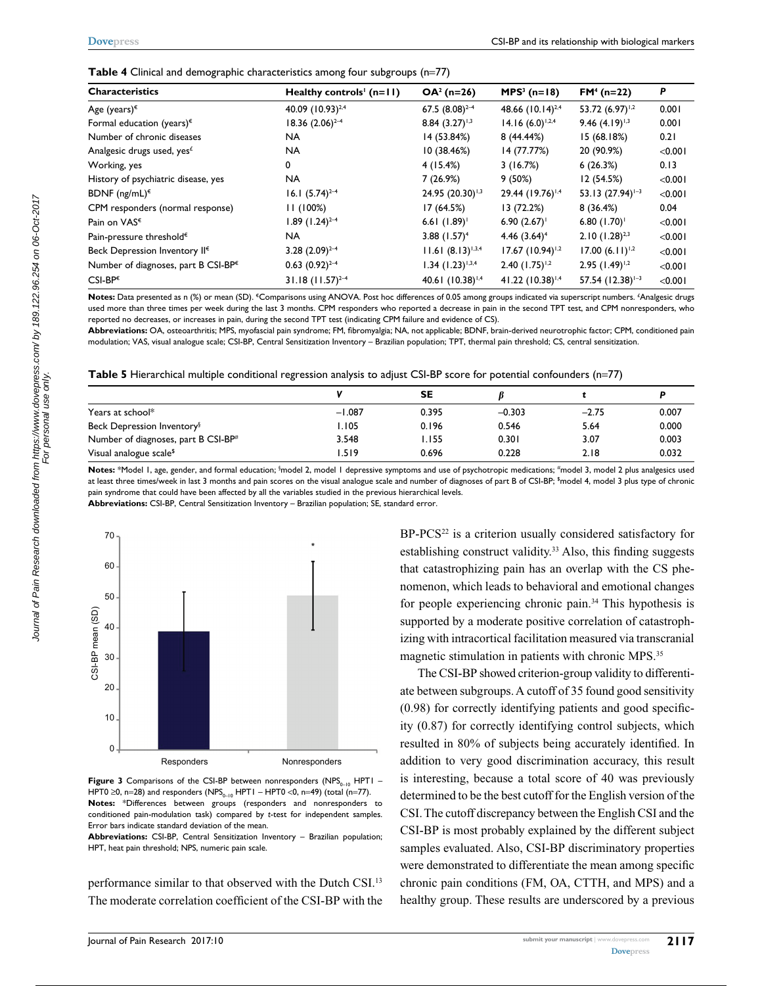**Table 4** Clinical and demographic characteristics among four subgroups (n=77)

| <b>Characteristics</b>                                   | Healthy controls <sup><math>\lceil</math></sup> (n=11) | $OA2$ (n=26)                 | $MPS3$ (n=18)                  | $FM4$ (n=22)                               | P       |
|----------------------------------------------------------|--------------------------------------------------------|------------------------------|--------------------------------|--------------------------------------------|---------|
| Age (years) $\epsilon$                                   | 40.09 (10.93) <sup>2,4</sup>                           | 67.5 $(8.08)^{2-4}$          | 48.66 $(10.14)^{2,4}$          | 53.72 (6.97) <sup>1,2</sup>                | 0.001   |
| Formal education (years) $\epsilon$                      | $18.36 (2.06)^{2-4}$                                   | $8.84(3.27)^{1,3}$           | $14.16 (6.0)^{1,2,4}$          | 9.46 $(4.19)^{1,3}$                        | 0.001   |
| Number of chronic diseases                               | NA                                                     | 14 (53.84%)                  | 8 (44.44%)                     | 15(68.18%)                                 | 0.21    |
| Analgesic drugs used, yes <sup>£</sup>                   | <b>NA</b>                                              | 10(38.46%)                   | 14 (77.77%)                    | 20 (90.9%)                                 | < 0.001 |
| Working, yes                                             | 0                                                      | 4(15.4%)                     | 3(16.7%)                       | 6(26.3%)                                   | 0.13    |
| History of psychiatric disease, yes                      | <b>NA</b>                                              | 7(26.9%)                     | 9(50%)                         | 12(54.5%)                                  | < 0.001 |
| BDNF (ng/mL) $\epsilon$                                  | 16.1 $(5.74)^{2-4}$                                    | $24.95(20.30)^{1,3}$         | 29.44 (19.76) <sup>1,4</sup>   | 53.13 $(27.94)^{1-3}$                      | < 0.001 |
| CPM responders (normal response)                         | 11(100%)                                               | 17 (64.5%)                   | 13 (72.2%)                     | 8(36.4%)                                   | 0.04    |
| Pain on VAS <sup>€</sup>                                 | $1.89(1.24)^{2-4}$                                     | 6.61 $(1.89)^+$              | $6.90(2.67)^{1}$               | 6.80 $(1.70)$ <sup>1</sup>                 | < 0.001 |
| Pain-pressure threshold <sup><math>\epsilon</math></sup> | NA                                                     | 3.88 $(1.57)^4$              | 4.46 $(3.64)^4$                | $2.10(1.28)^{2.3}$                         | < 0.001 |
| Beck Depression Inventory II <sup>€</sup>                | 3.28 $(2.09)^{2-4}$                                    | $11.61 (8.13)^{1,3,4}$       | $17.67$ (10.94) <sup>1,2</sup> | $17.00 (6.11)^{1.2}$                       | < 0.001 |
| Number of diagnoses, part B CSI-BP <sup>€</sup>          | $0.63$ $(0.92)^{2-4}$                                  | $1.34 (1.23)^{1,3,4}$        | $2.40$ (1.75) <sup>1,2</sup>   | $2.95$ (1.49) <sup>1,2</sup>               | < 0.001 |
| $CSI-BP^{\epsilon}$                                      | $31.18 (11.57)^{2-4}$                                  | 40.61 (10.38) <sup>1,4</sup> | 41.22 (10.38) <sup>1,4</sup>   | $57.54$ (12.38) <sup><math>-3</math></sup> | < 0.001 |

Notes: Data presented as n (%) or mean (SD). <sup>6</sup>Comparisons using ANOVA. Post hoc differences of 0.05 among groups indicated via superscript numbers. <sup>£</sup>Analgesic drugs used more than three times per week during the last 3 months. CPM responders who reported a decrease in pain in the second TPT test, and CPM nonresponders, who reported no decreases, or increases in pain, during the second TPT test (indicating CPM failure and evidence of CS).

**Abbreviations:** OA, osteoarthritis; MPS, myofascial pain syndrome; FM, fibromyalgia; NA, not applicable; BDNF, brain-derived neurotrophic factor; CPM, conditioned pain modulation; VAS, visual analogue scale; CSI-BP, Central Sensitization Inventory – Brazilian population; TPT, thermal pain threshold; CS, central sensitization.

| <b>Table 5</b> Hierarchical multiple conditional regression analysis to adjust CSI-BP score for potential confounders (n=77) |  |  |  |  |
|------------------------------------------------------------------------------------------------------------------------------|--|--|--|--|
|------------------------------------------------------------------------------------------------------------------------------|--|--|--|--|

|                                                 |          | SE    |          |         |       |
|-------------------------------------------------|----------|-------|----------|---------|-------|
| Years at school*                                | $-1.087$ | 0.395 | $-0.303$ | $-2.75$ | 0.007 |
| Beck Depression Inventory <sup>§</sup>          | .105     | 0.196 | 0.546    | 5.64    | 0.000 |
| Number of diagnoses, part B CSI-BP <sup>#</sup> | 3.548    | I.I55 | 0.301    | 3.07    | 0.003 |
| Visual analogue scale <sup>\$</sup>             | 1.519    | 0.696 | 0.228    | 2.18    | 0.032 |

**Notes:** \*Model 1, age, gender, and formal education; <sup>§</sup>model 2, model 1 depressive symptoms and use of psychotropic medications; <sup>#</sup>model 3, model 2 plus analgesics used at least three times/week in last 3 months and pain scores on the visual analogue scale and number of diagnoses of part B of CSI-BP; <sup>s</sup>model 4, model 3 plus type of chronic pain syndrome that could have been affected by all the variables studied in the previous hierarchical levels. **Abbreviations:** CSI-BP, Central Sensitization Inventory – Brazilian population; SE, standard error.



**Figure 3** Comparisons of the CSI-BP between nonresponders (NPS<sub>0-10</sub> HPT1 – HPT0 ≥0, n=28) and responders (NPS<sub>0–10</sub> HPT1 – HPT0 <0, n=49) (total (n=77). **Notes:** \*Differences between groups (responders and nonresponders to conditioned pain-modulation task) compared by *t*-test for independent samples. Error bars indicate standard deviation of the mean.

**Abbreviations:** CSI-BP, Central Sensitization Inventory – Brazilian population; HPT, heat pain threshold; NPS, numeric pain scale.

performance similar to that observed with the Dutch CSI.13 The moderate correlation coefficient of the CSI-BP with the BP-PCS<sup>22</sup> is a criterion usually considered satisfactory for establishing construct validity.<sup>33</sup> Also, this finding suggests that catastrophizing pain has an overlap with the CS phenomenon, which leads to behavioral and emotional changes for people experiencing chronic pain.34 This hypothesis is supported by a moderate positive correlation of catastrophizing with intracortical facilitation measured via transcranial magnetic stimulation in patients with chronic MPS.<sup>35</sup>

The CSI-BP showed criterion-group validity to differentiate between subgroups. A cutoff of 35 found good sensitivity (0.98) for correctly identifying patients and good specificity (0.87) for correctly identifying control subjects, which resulted in 80% of subjects being accurately identified. In addition to very good discrimination accuracy, this result is interesting, because a total score of 40 was previously determined to be the best cutoff for the English version of the CSI. The cutoff discrepancy between the English CSI and the CSI-BP is most probably explained by the different subject samples evaluated. Also, CSI-BP discriminatory properties were demonstrated to differentiate the mean among specific chronic pain conditions (FM, OA, CTTH, and MPS) and a healthy group. These results are underscored by a previous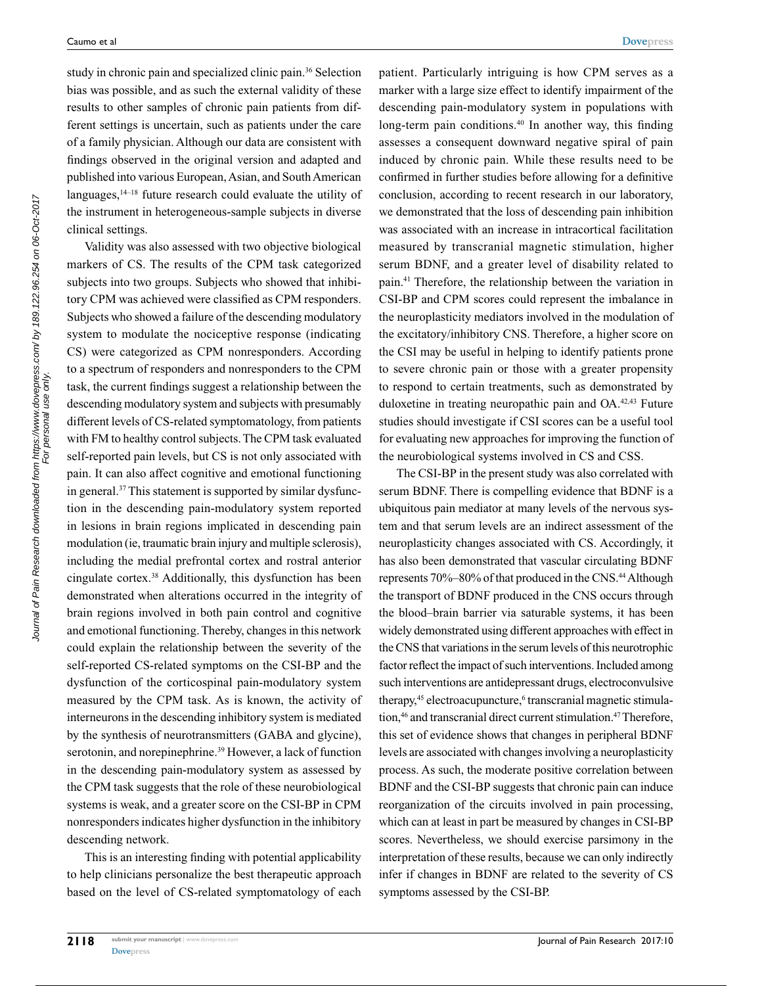study in chronic pain and specialized clinic pain.36 Selection bias was possible, and as such the external validity of these results to other samples of chronic pain patients from different settings is uncertain, such as patients under the care of a family physician. Although our data are consistent with findings observed in the original version and adapted and published into various European, Asian, and South American languages, $14-18$  future research could evaluate the utility of the instrument in heterogeneous-sample subjects in diverse clinical settings.

Validity was also assessed with two objective biological markers of CS. The results of the CPM task categorized subjects into two groups. Subjects who showed that inhibitory CPM was achieved were classified as CPM responders. Subjects who showed a failure of the descending modulatory system to modulate the nociceptive response (indicating CS) were categorized as CPM nonresponders. According to a spectrum of responders and nonresponders to the CPM task, the current findings suggest a relationship between the descending modulatory system and subjects with presumably different levels of CS-related symptomatology, from patients with FM to healthy control subjects. The CPM task evaluated self-reported pain levels, but CS is not only associated with pain. It can also affect cognitive and emotional functioning in general.37 This statement is supported by similar dysfunction in the descending pain-modulatory system reported in lesions in brain regions implicated in descending pain modulation (ie, traumatic brain injury and multiple sclerosis), including the medial prefrontal cortex and rostral anterior cingulate cortex.38 Additionally, this dysfunction has been demonstrated when alterations occurred in the integrity of brain regions involved in both pain control and cognitive and emotional functioning. Thereby, changes in this network could explain the relationship between the severity of the self-reported CS-related symptoms on the CSI-BP and the dysfunction of the corticospinal pain-modulatory system measured by the CPM task. As is known, the activity of interneurons in the descending inhibitory system is mediated by the synthesis of neurotransmitters (GABA and glycine), serotonin, and norepinephrine.<sup>39</sup> However, a lack of function in the descending pain-modulatory system as assessed by the CPM task suggests that the role of these neurobiological systems is weak, and a greater score on the CSI-BP in CPM nonresponders indicates higher dysfunction in the inhibitory descending network.

This is an interesting finding with potential applicability to help clinicians personalize the best therapeutic approach based on the level of CS-related symptomatology of each

patient. Particularly intriguing is how CPM serves as a marker with a large size effect to identify impairment of the descending pain-modulatory system in populations with long-term pain conditions. $40$  In another way, this finding assesses a consequent downward negative spiral of pain induced by chronic pain. While these results need to be confirmed in further studies before allowing for a definitive conclusion, according to recent research in our laboratory, we demonstrated that the loss of descending pain inhibition was associated with an increase in intracortical facilitation measured by transcranial magnetic stimulation, higher serum BDNF, and a greater level of disability related to pain.41 Therefore, the relationship between the variation in CSI-BP and CPM scores could represent the imbalance in the neuroplasticity mediators involved in the modulation of the excitatory/inhibitory CNS. Therefore, a higher score on the CSI may be useful in helping to identify patients prone to severe chronic pain or those with a greater propensity to respond to certain treatments, such as demonstrated by duloxetine in treating neuropathic pain and OA.42,43 Future studies should investigate if CSI scores can be a useful tool for evaluating new approaches for improving the function of the neurobiological systems involved in CS and CSS.

The CSI-BP in the present study was also correlated with serum BDNF. There is compelling evidence that BDNF is a ubiquitous pain mediator at many levels of the nervous system and that serum levels are an indirect assessment of the neuroplasticity changes associated with CS. Accordingly, it has also been demonstrated that vascular circulating BDNF represents 70%–80% of that produced in the CNS.<sup>44</sup> Although the transport of BDNF produced in the CNS occurs through the blood–brain barrier via saturable systems, it has been widely demonstrated using different approaches with effect in the CNS that variations in the serum levels of this neurotrophic factor reflect the impact of such interventions. Included among such interventions are antidepressant drugs, electroconvulsive therapy,<sup>45</sup> electroacupuncture,<sup>6</sup> transcranial magnetic stimulation,<sup>46</sup> and transcranial direct current stimulation.<sup>47</sup> Therefore, this set of evidence shows that changes in peripheral BDNF levels are associated with changes involving a neuroplasticity process. As such, the moderate positive correlation between BDNF and the CSI-BP suggests that chronic pain can induce reorganization of the circuits involved in pain processing, which can at least in part be measured by changes in CSI-BP scores. Nevertheless, we should exercise parsimony in the interpretation of these results, because we can only indirectly infer if changes in BDNF are related to the severity of CS symptoms assessed by the CSI-BP.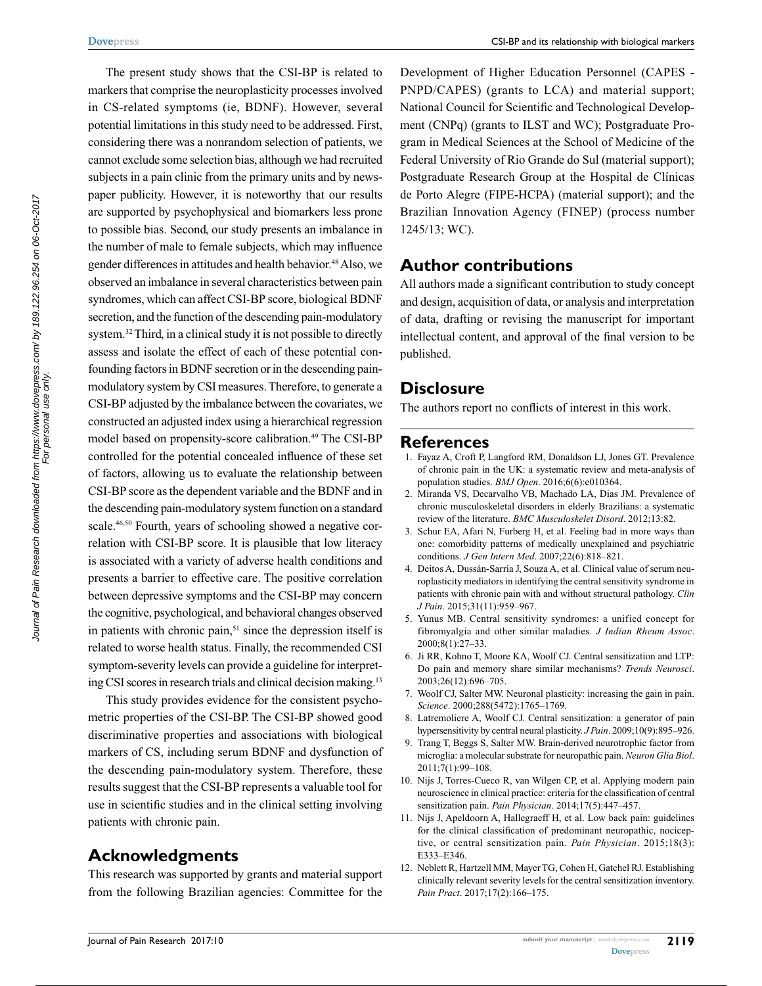The present study shows that the CSI-BP is related to markers that comprise the neuroplasticity processes involved in CS-related symptoms (ie, BDNF). However, several potential limitations in this study need to be addressed. First, considering there was a nonrandom selection of patients, we cannot exclude some selection bias, although we had recruited subjects in a pain clinic from the primary units and by newspaper publicity. However, it is noteworthy that our results are supported by psychophysical and biomarkers less prone to possible bias. Second, our study presents an imbalance in the number of male to female subjects, which may influence gender differences in attitudes and health behavior.<sup>48</sup> Also, we observed an imbalance in several characteristics between pain syndromes, which can affect CSI-BP score, biological BDNF secretion, and the function of the descending pain-modulatory system.<sup>32</sup> Third, in a clinical study it is not possible to directly assess and isolate the effect of each of these potential confounding factors in BDNF secretion or in the descending painmodulatory system by CSI measures. Therefore, to generate a CSI-BP adjusted by the imbalance between the covariates, we constructed an adjusted index using a hierarchical regression model based on propensity-score calibration.<sup>49</sup> The CSI-BP controlled for the potential concealed influence of these set of factors, allowing us to evaluate the relationship between CSI-BP score as the dependent variable and the BDNF and in the descending pain-modulatory system function on a standard scale.<sup>46,50</sup> Fourth, years of schooling showed a negative correlation with CSI-BP score. It is plausible that low literacy is associated with a variety of adverse health conditions and presents a barrier to effective care. The positive correlation between depressive symptoms and the CSI-BP may concern the cognitive, psychological, and behavioral changes observed in patients with chronic pain,<sup>51</sup> since the depression itself is related to worse health status. Finally, the recommended CSI symptom-severity levels can provide a guideline for interpreting CSI scores in research trials and clinical decision making.13

This study provides evidence for the consistent psychometric properties of the CSI-BP. The CSI-BP showed good discriminative properties and associations with biological markers of CS, including serum BDNF and dysfunction of the descending pain-modulatory system. Therefore, these results suggest that the CSI-BP represents a valuable tool for use in scientific studies and in the clinical setting involving patients with chronic pain.

# **Acknowledgments**

This research was supported by grants and material support from the following Brazilian agencies: Committee for the

Development of Higher Education Personnel (CAPES - PNPD/CAPES) (grants to LCA) and material support; National Council for Scientific and Technological Development (CNPq) (grants to ILST and WC); Postgraduate Program in Medical Sciences at the School of Medicine of the Federal University of Rio Grande do Sul (material support); Postgraduate Research Group at the Hospital de Clínicas de Porto Alegre (FIPE-HCPA) (material support); and the Brazilian Innovation Agency (FINEP) (process number 1245/13; WC).

#### **Author contributions**

All authors made a significant contribution to study concept and design, acquisition of data, or analysis and interpretation of data, drafting or revising the manuscript for important intellectual content, and approval of the final version to be published.

### **Disclosure**

The authors report no conflicts of interest in this work.

#### **References**

- 1. Fayaz A, Croft P, Langford RM, Donaldson LJ, Jones GT. Prevalence of chronic pain in the UK: a systematic review and meta-analysis of population studies. *BMJ Open*. 2016;6(6):e010364.
- 2. Miranda VS, Decarvalho VB, Machado LA, Dias JM. Prevalence of chronic musculoskeletal disorders in elderly Brazilians: a systematic review of the literature. *BMC Musculoskelet Disord*. 2012;13:82.
- 3. Schur EA, Afari N, Furberg H, et al. Feeling bad in more ways than one: comorbidity patterns of medically unexplained and psychiatric conditions. *J Gen Intern Med*. 2007;22(6):818–821.
- 4. Deitos A, Dussán-Sarria J, Souza A, et al. Clinical value of serum neuroplasticity mediators in identifying the central sensitivity syndrome in patients with chronic pain with and without structural pathology. *Clin J Pain*. 2015;31(11):959–967.
- 5. Yunus MB. Central sensitivity syndromes: a unified concept for fibromyalgia and other similar maladies. *J Indian Rheum Assoc*. 2000;8(1):27–33.
- 6. Ji RR, Kohno T, Moore KA, Woolf CJ. Central sensitization and LTP: Do pain and memory share similar mechanisms? *Trends Neurosci*. 2003;26(12):696–705.
- 7. Woolf CJ, Salter MW. Neuronal plasticity: increasing the gain in pain. *Science*. 2000;288(5472):1765–1769.
- 8. Latremoliere A, Woolf CJ. Central sensitization: a generator of pain hypersensitivity by central neural plasticity. *J Pain*. 2009;10(9):895–926.
- 9. Trang T, Beggs S, Salter MW. Brain-derived neurotrophic factor from microglia: a molecular substrate for neuropathic pain. *Neuron Glia Biol*. 2011;7(1):99–108.
- 10. Nijs J, Torres-Cueco R, van Wilgen CP, et al. Applying modern pain neuroscience in clinical practice: criteria for the classification of central sensitization pain. *Pain Physician*. 2014;17(5):447–457.
- 11. Nijs J, Apeldoorn A, Hallegraeff H, et al. Low back pain: guidelines for the clinical classification of predominant neuropathic, nociceptive, or central sensitization pain. *Pain Physician*. 2015;18(3): E333–E346.
- 12. Neblett R, Hartzell MM, Mayer TG, Cohen H, Gatchel RJ. Establishing clinically relevant severity levels for the central sensitization inventory. *Pain Pract*. 2017;17(2):166–175.

For personal use only.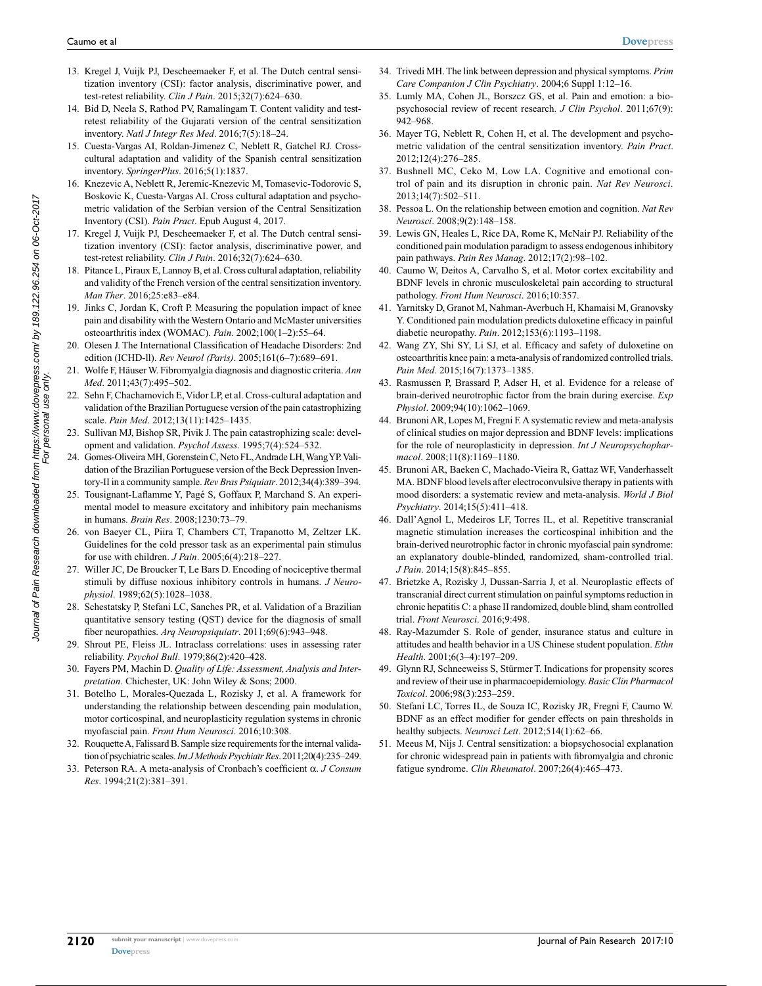- 13. Kregel J, Vuijk PJ, Descheemaeker F, et al. The Dutch central sensitization inventory (CSI): factor analysis, discriminative power, and test-retest reliability. *Clin J Pain*. 2015;32(7):624–630.
- 14. Bid D, Neela S, Rathod PV, Ramalingam T. Content validity and testretest reliability of the Gujarati version of the central sensitization inventory. *Natl J Integr Res Med*. 2016;7(5):18–24.
- 15. Cuesta-Vargas AI, Roldan-Jimenez C, Neblett R, Gatchel RJ. Crosscultural adaptation and validity of the Spanish central sensitization inventory. *SpringerPlus*. 2016;5(1):1837.
- 16. Knezevic A, Neblett R, Jeremic-Knezevic M, Tomasevic-Todorovic S, Boskovic K, Cuesta-Vargas AI. Cross cultural adaptation and psychometric validation of the Serbian version of the Central Sensitization Inventory (CSI). *Pain Pract*. Epub August 4, 2017.
- 17. Kregel J, Vuijk PJ, Descheemaeker F, et al. The Dutch central sensitization inventory (CSI): factor analysis, discriminative power, and test-retest reliability. *Clin J Pain*. 2016;32(7):624–630.
- 18. Pitance L, Piraux E, Lannoy B, et al. Cross cultural adaptation, reliability and validity of the French version of the central sensitization inventory. *Man Ther*. 2016;25:e83–e84.
- 19. Jinks C, Jordan K, Croft P. Measuring the population impact of knee pain and disability with the Western Ontario and McMaster universities osteoarthritis index (WOMAC). *Pain*. 2002;100(1–2):55–64.
- 20. Olesen J. The International Classification of Headache Disorders: 2nd edition (ICHD-ll). *Rev Neurol (Paris)*. 2005;161(6–7):689–691.
- 21. Wolfe F, Häuser W. Fibromyalgia diagnosis and diagnostic criteria. *Ann Med*. 2011;43(7):495–502.
- 22. Sehn F, Chachamovich E, Vidor LP, et al. Cross-cultural adaptation and validation of the Brazilian Portuguese version of the pain catastrophizing scale. *Pain Med*. 2012;13(11):1425–1435.
- 23. Sullivan MJ, Bishop SR, Pivik J. The pain catastrophizing scale: development and validation. *Psychol Assess*. 1995;7(4):524–532.
- 24. Gomes-Oliveira MH, Gorenstein C, Neto FL, Andrade LH, Wang YP. Validation of the Brazilian Portuguese version of the Beck Depression Inventory-II in a community sample. *Rev Bras Psiquiatr*. 2012;34(4):389–394.
- 25. Tousignant-Laflamme Y, Pagé S, Goffaux P, Marchand S. An experimental model to measure excitatory and inhibitory pain mechanisms in humans. *Brain Res*. 2008;1230:73–79.
- 26. von Baeyer CL, Piira T, Chambers CT, Trapanotto M, Zeltzer LK. Guidelines for the cold pressor task as an experimental pain stimulus for use with children. *J Pain*. 2005;6(4):218–227.
- 27. Willer JC, De Broucker T, Le Bars D. Encoding of nociceptive thermal stimuli by diffuse noxious inhibitory controls in humans. *J Neurophysiol*. 1989;62(5):1028–1038.
- 28. Schestatsky P, Stefani LC, Sanches PR, et al. Validation of a Brazilian quantitative sensory testing (QST) device for the diagnosis of small fiber neuropathies. *Arq Neuropsiquiatr*. 2011;69(6):943–948.
- 29. Shrout PE, Fleiss JL. Intraclass correlations: uses in assessing rater reliability. *Psychol Bull*. 1979;86(2):420–428.
- 30. Fayers PM, Machin D. *Quality of Life: Assessment, Analysis and Interpretation*. Chichester, UK: John Wiley & Sons; 2000.
- 31. Botelho L, Morales-Quezada L, Rozisky J, et al. A framework for understanding the relationship between descending pain modulation, motor corticospinal, and neuroplasticity regulation systems in chronic myofascial pain. *Front Hum Neurosci*. 2016;10:308.
- 32. Rouquette A, Falissard B. Sample size requirements for the internal validation of psychiatric scales. *Int J Methods Psychiatr Res*. 2011;20(4):235–249.
- 33. Peterson RA. A meta-analysis of Cronbach's coefficient α. *J Consum Res*. 1994;21(2):381–391.
- 34. Trivedi MH. The link between depression and physical symptoms. *Prim Care Companion J Clin Psychiatry*. 2004;6 Suppl 1:12–16.
- 35. Lumly MA, Cohen JL, Borszcz GS, et al. Pain and emotion: a biopsychosocial review of recent research. *J Clin Psychol*. 2011;67(9): 942–968.
- 36. Mayer TG, Neblett R, Cohen H, et al. The development and psychometric validation of the central sensitization inventory. *Pain Pract*. 2012;12(4):276–285.
- 37. Bushnell MC, Ceko M, Low LA. Cognitive and emotional control of pain and its disruption in chronic pain. *Nat Rev Neurosci*. 2013;14(7):502–511.
- 38. Pessoa L. On the relationship between emotion and cognition. *Nat Rev Neurosci*. 2008;9(2):148–158.
- 39. Lewis GN, Heales L, Rice DA, Rome K, McNair PJ. Reliability of the conditioned pain modulation paradigm to assess endogenous inhibitory pain pathways. *Pain Res Manag*. 2012;17(2):98–102.
- 40. Caumo W, Deitos A, Carvalho S, et al. Motor cortex excitability and BDNF levels in chronic musculoskeletal pain according to structural pathology. *Front Hum Neurosci*. 2016;10:357.
- 41. Yarnitsky D, Granot M, Nahman-Averbuch H, Khamaisi M, Granovsky Y. Conditioned pain modulation predicts duloxetine efficacy in painful diabetic neuropathy. *Pain*. 2012;153(6):1193–1198.
- 42. Wang ZY, Shi SY, Li SJ, et al. Efficacy and safety of duloxetine on osteoarthritis knee pain: a meta-analysis of randomized controlled trials. *Pain Med*. 2015;16(7):1373–1385.
- 43. Rasmussen P, Brassard P, Adser H, et al. Evidence for a release of brain-derived neurotrophic factor from the brain during exercise. *Exp Physiol*. 2009;94(10):1062–1069.
- 44. Brunoni AR, Lopes M, Fregni F. A systematic review and meta-analysis of clinical studies on major depression and BDNF levels: implications for the role of neuroplasticity in depression. *Int J Neuropsychopharmacol*. 2008;11(8):1169–1180.
- 45. Brunoni AR, Baeken C, Machado-Vieira R, Gattaz WF, Vanderhasselt MA. BDNF blood levels after electroconvulsive therapy in patients with mood disorders: a systematic review and meta-analysis. *World J Biol Psychiatry*. 2014;15(5):411–418.
- 46. Dall'Agnol L, Medeiros LF, Torres IL, et al. Repetitive transcranial magnetic stimulation increases the corticospinal inhibition and the brain-derived neurotrophic factor in chronic myofascial pain syndrome: an explanatory double-blinded, randomized, sham-controlled trial. *J Pain*. 2014;15(8):845–855.
- 47. Brietzke A, Rozisky J, Dussan-Sarria J, et al. Neuroplastic effects of transcranial direct current stimulation on painful symptoms reduction in chronic hepatitis C: a phase II randomized, double blind, sham controlled trial. *Front Neurosci*. 2016;9:498.
- 48. Ray-Mazumder S. Role of gender, insurance status and culture in attitudes and health behavior in a US Chinese student population. *Ethn Health*. 2001;6(3–4):197–209.
- 49. Glynn RJ, Schneeweiss S, Stürmer T. Indications for propensity scores and review of their use in pharmacoepidemiology. *Basic Clin Pharmacol Toxicol*. 2006;98(3):253–259.
- 50. Stefani LC, Torres IL, de Souza IC, Rozisky JR, Fregni F, Caumo W. BDNF as an effect modifier for gender effects on pain thresholds in healthy subjects. *Neurosci Lett*. 2012;514(1):62–66.
- 51. Meeus M, Nijs J. Central sensitization: a biopsychosocial explanation for chronic widespread pain in patients with fibromyalgia and chronic fatigue syndrome. *Clin Rheumatol*. 2007;26(4):465–473.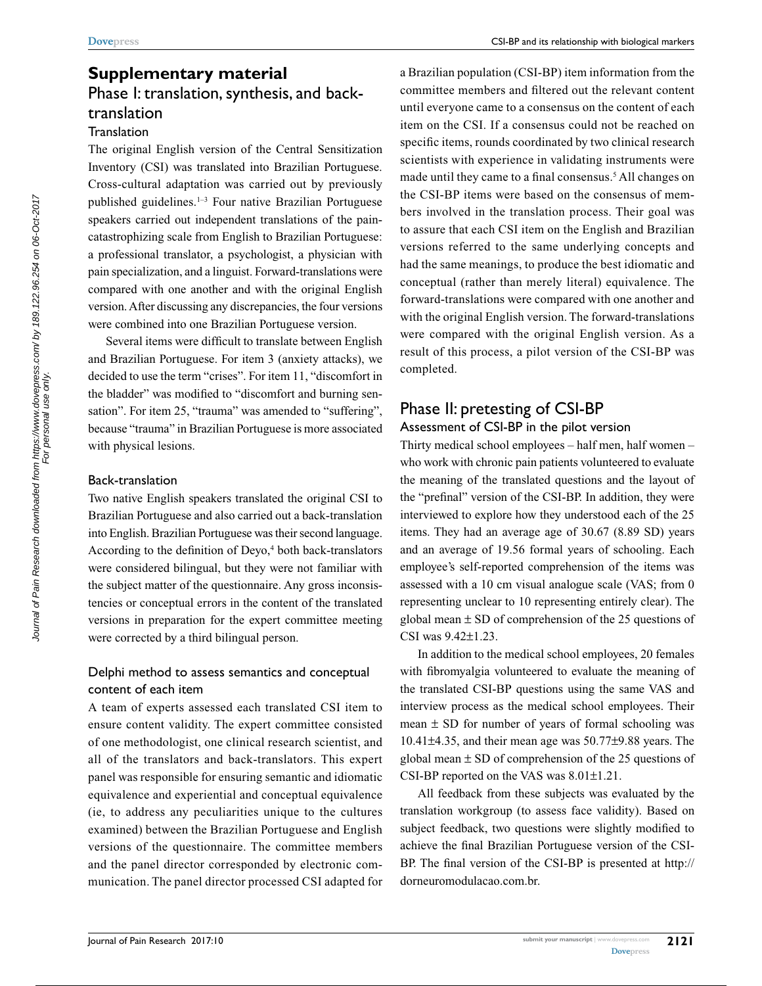# **Supplementary material** Phase I: translation, synthesis, and backtranslation

#### **Translation**

The original English version of the Central Sensitization Inventory (CSI) was translated into Brazilian Portuguese. Cross-cultural adaptation was carried out by previously published guidelines.1–3 Four native Brazilian Portuguese speakers carried out independent translations of the paincatastrophizing scale from English to Brazilian Portuguese: a professional translator, a psychologist, a physician with pain specialization, and a linguist. Forward-translations were compared with one another and with the original English version. After discussing any discrepancies, the four versions were combined into one Brazilian Portuguese version.

Several items were difficult to translate between English and Brazilian Portuguese. For item 3 (anxiety attacks), we decided to use the term "crises". For item 11, "discomfort in the bladder" was modified to "discomfort and burning sensation". For item 25, "trauma" was amended to "suffering", because "trauma" in Brazilian Portuguese is more associated with physical lesions.

#### Back-translation

Two native English speakers translated the original CSI to Brazilian Portuguese and also carried out a back-translation into English. Brazilian Portuguese was their second language. According to the definition of Deyo,<sup>4</sup> both back-translators were considered bilingual, but they were not familiar with the subject matter of the questionnaire. Any gross inconsistencies or conceptual errors in the content of the translated versions in preparation for the expert committee meeting were corrected by a third bilingual person.

#### Delphi method to assess semantics and conceptual content of each item

A team of experts assessed each translated CSI item to ensure content validity. The expert committee consisted of one methodologist, one clinical research scientist, and all of the translators and back-translators. This expert panel was responsible for ensuring semantic and idiomatic equivalence and experiential and conceptual equivalence (ie, to address any peculiarities unique to the cultures examined) between the Brazilian Portuguese and English versions of the questionnaire. The committee members and the panel director corresponded by electronic communication. The panel director processed CSI adapted for

a Brazilian population (CSI-BP) item information from the committee members and filtered out the relevant content until everyone came to a consensus on the content of each item on the CSI. If a consensus could not be reached on specific items, rounds coordinated by two clinical research scientists with experience in validating instruments were made until they came to a final consensus.<sup>5</sup> All changes on the CSI-BP items were based on the consensus of members involved in the translation process. Their goal was to assure that each CSI item on the English and Brazilian versions referred to the same underlying concepts and had the same meanings, to produce the best idiomatic and conceptual (rather than merely literal) equivalence. The forward-translations were compared with one another and with the original English version. The forward-translations were compared with the original English version. As a result of this process, a pilot version of the CSI-BP was completed.

#### Phase II: pretesting of CSI-BP Assessment of CSI-BP in the pilot version

Thirty medical school employees – half men, half women – who work with chronic pain patients volunteered to evaluate the meaning of the translated questions and the layout of the "prefinal" version of the CSI-BP. In addition, they were interviewed to explore how they understood each of the 25 items. They had an average age of 30.67 (8.89 SD) years and an average of 19.56 formal years of schooling. Each employee's self-reported comprehension of the items was assessed with a 10 cm visual analogue scale (VAS; from 0 representing unclear to 10 representing entirely clear). The global mean  $\pm$  SD of comprehension of the 25 questions of CSI was 9.42±1.23.

In addition to the medical school employees, 20 females with fibromyalgia volunteered to evaluate the meaning of the translated CSI-BP questions using the same VAS and interview process as the medical school employees. Their mean  $\pm$  SD for number of years of formal schooling was 10.41±4.35, and their mean age was 50.77±9.88 years. The global mean  $\pm$  SD of comprehension of the 25 questions of CSI-BP reported on the VAS was 8.01±1.21.

All feedback from these subjects was evaluated by the translation workgroup (to assess face validity). Based on subject feedback, two questions were slightly modified to achieve the final Brazilian Portuguese version of the CSI-BP. The final version of the CSI-BP is presented at http:// dorneuromodulacao.com.br.